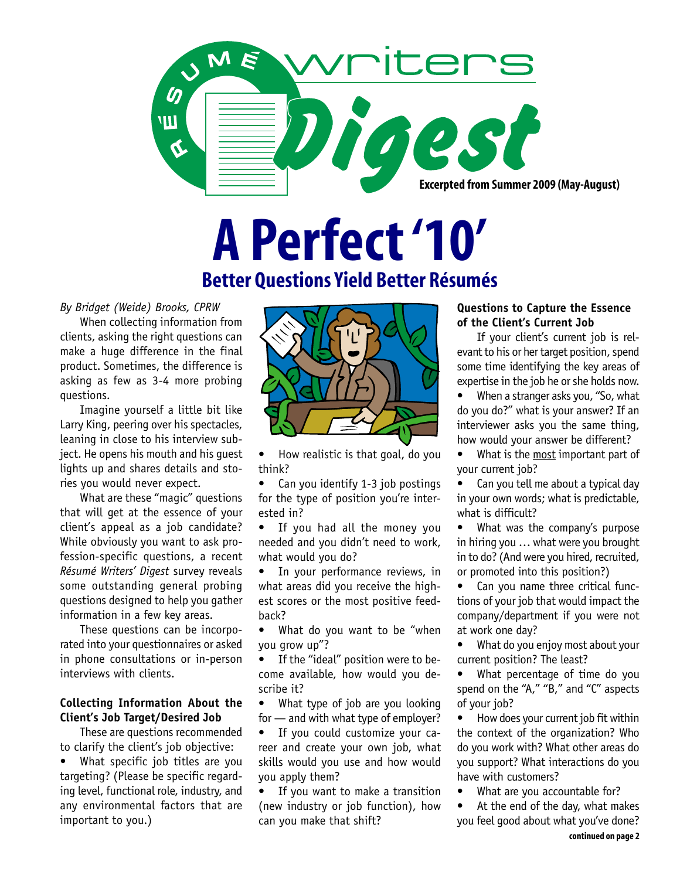

# **A Perfect '10'**

# **Better Questions Yield Better Résumés**

*By Bridget (Weide) Brooks, CPRW*

When collecting information from clients, asking the right questions can make a huge difference in the final product. Sometimes, the difference is asking as few as 3-4 more probing questions.

Imagine yourself a little bit like Larry King, peering over his spectacles, leaning in close to his interview subject. He opens his mouth and his guest lights up and shares details and stories you would never expect.

What are these "magic" questions that will get at the essence of your client's appeal as a job candidate? While obviously you want to ask profession-specific questions, a recent *Résumé Writers' Digest* survey reveals some outstanding general probing questions designed to help you gather information in a few key areas.

These questions can be incorporated into your questionnaires or asked in phone consultations or in-person interviews with clients.

# **Collecting Information About the Client's Job Target/Desired Job**

These are questions recommended to clarify the client's job objective:

What specific job titles are you targeting? (Please be specific regarding level, functional role, industry, and any environmental factors that are important to you.)



• How realistic is that goal, do you think?

Can you identify 1-3 job postings for the type of position you're interested in?

If you had all the money you needed and you didn't need to work, what would you do?

• In your performance reviews, in what areas did you receive the highest scores or the most positive feedback?

What do you want to be "when you grow up"?

• If the "ideal" position were to become available, how would you describe it?

What type of job are you looking for — and with what type of employer?

• If you could customize your career and create your own job, what skills would you use and how would you apply them?

• If you want to make a transition (new industry or job function), how can you make that shift?

## **Questions to Capture the Essence of the Client's Current Job**

If your client's current job is relevant to his or her target position, spend some time identifying the key areas of expertise in the job he or she holds now.

• When a stranger asks you, "So, what do you do?" what is your answer? If an interviewer asks you the same thing, how would your answer be different?

What is the most important part of your current job?

• Can you tell me about a typical day in your own words; what is predictable, what is difficult?

• What was the company's purpose in hiring you … what were you brought in to do? (And were you hired, recruited, or promoted into this position?)

• Can you name three critical functions of your job that would impact the company/department if you were not at work one day?

• What do you enjoy most about your current position? The least?

• What percentage of time do you spend on the "A," "B," and "C" aspects of your job?

• How does your current job fit within the context of the organization? Who do you work with? What other areas do you support? What interactions do you have with customers?

What are you accountable for?

At the end of the day, what makes you feel good about what you've done?